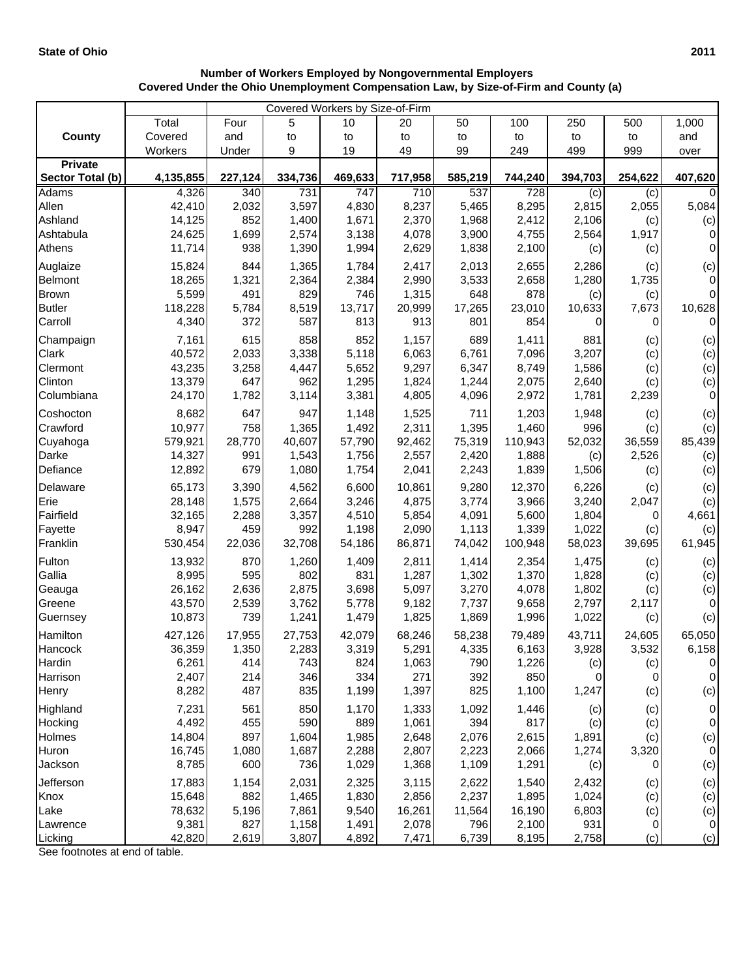|                                    | Covered Workers by Size-of-Firm |              |                |              |                |                |                |                |              |                    |  |
|------------------------------------|---------------------------------|--------------|----------------|--------------|----------------|----------------|----------------|----------------|--------------|--------------------|--|
|                                    | Total                           | Four         | 5              | 10           | 20             | 50             | 100            | 250            | 500          | 1,000              |  |
| <b>County</b>                      | Covered                         | and          | to             | to           | to             | to             | to             | to             | to           | and                |  |
|                                    | Workers                         | Under        | 9              | 19           | 49             | 99             | 249            | 499            | 999          | over               |  |
| <b>Private</b><br>Sector Total (b) | 4,135,855                       | 227,124      |                | 469,633      | 717,958        | 585,219        | 744,240        | 394,703        | 254,622      |                    |  |
| <b>Adams</b>                       | 4,326                           | 340          | 334,736<br>731 | 747          | 710            | 537            | 728            |                |              | 407,620<br>0       |  |
| Allen                              | 42,410                          | 2,032        | 3,597          | 4,830        | 8,237          | 5,465          | 8,295          | (c)<br>2,815   | (c)<br>2,055 | 5,084              |  |
| Ashland                            | 14,125                          | 852          | 1,400          | 1,671        | 2,370          | 1,968          | 2,412          | 2,106          | (c)          | (c)                |  |
| Ashtabula                          | 24,625                          | 1,699        | 2,574          | 3,138        | 4,078          | 3,900          | 4,755          | 2,564          | 1,917        | 0                  |  |
| Athens                             | 11,714                          | 938          | 1,390          | 1,994        | 2,629          | 1,838          | 2,100          | (c)            | (c)          | $\mathbf 0$        |  |
| Auglaize                           | 15,824                          | 844          | 1,365          | 1,784        | 2,417          | 2,013          | 2,655          | 2,286          | (c)          | (c)                |  |
| Belmont                            | 18,265                          | 1,321        | 2,364          | 2,384        | 2,990          | 3,533          | 2,658          | 1,280          | 1,735        | $\mathbf{0}$       |  |
| <b>Brown</b>                       | 5,599                           | 491          | 829            | 746          | 1,315          | 648            | 878            | (c)            | (c)          | $\mathbf 0$        |  |
| <b>Butler</b>                      | 118,228                         | 5,784        | 8,519          | 13,717       | 20,999         | 17,265         | 23,010         | 10,633         | 7,673        | 10,628             |  |
| Carroll                            | 4,340                           | 372          | 587            | 813          | 913            | 801            | 854            | 0              | 0            | 0                  |  |
| Champaign                          | 7,161                           | 615          | 858            | 852          | 1,157          | 689            | 1,411          | 881            | (c)          | (c)                |  |
| Clark                              | 40,572                          | 2,033        | 3,338          | 5,118        | 6,063          | 6,761          | 7,096          | 3,207          | (c)          | (c)                |  |
| Clermont                           | 43,235                          | 3,258        | 4,447          | 5,652        | 9,297          | 6,347          | 8,749          | 1,586          | (c)          | (c)                |  |
| Clinton                            | 13,379                          | 647          | 962            | 1,295        | 1,824          | 1,244          | 2,075          | 2,640          | (c)          | (c)                |  |
| Columbiana                         | 24,170                          | 1,782        | 3,114          | 3,381        | 4,805          | 4,096          | 2,972          | 1,781          | 2,239        | 0                  |  |
| Coshocton                          | 8,682                           | 647          | 947            | 1,148        | 1,525          | 711            | 1,203          | 1,948          | (c)          | (c)                |  |
| Crawford                           | 10,977                          | 758          | 1,365          | 1,492        | 2,311          | 1,395          | 1,460          | 996            | (c)          | (c)                |  |
| Cuyahoga                           | 579,921                         | 28,770       | 40,607         | 57,790       | 92,462         | 75,319         | 110,943        | 52,032         | 36,559       | 85,439             |  |
| Darke                              | 14,327                          | 991          | 1,543          | 1,756        | 2,557          | 2,420          | 1,888          | (c)            | 2,526        | (c)                |  |
| Defiance                           | 12,892                          | 679          | 1,080          | 1,754        | 2,041          | 2,243          | 1,839          | 1,506          | (c)          | (c)                |  |
| Delaware                           | 65,173                          | 3,390        | 4,562          | 6,600        | 10,861         | 9,280          | 12,370         | 6,226          | (c)          | (c)                |  |
| Erie                               | 28,148                          | 1,575        | 2,664          | 3,246        | 4,875          | 3,774          | 3,966          | 3,240          | 2,047        | (c)                |  |
| Fairfield                          | 32,165                          | 2,288        | 3,357          | 4,510        | 5,854          | 4,091          | 5,600          | 1,804          | 0            | 4,661              |  |
| Fayette                            | 8,947                           | 459          | 992            | 1,198        | 2,090          | 1,113          | 1,339          | 1,022          | (c)          | (c)                |  |
| Franklin                           | 530,454                         | 22,036       | 32,708         | 54,186       | 86,871         | 74,042         | 100,948        | 58,023         | 39,695       | 61,945             |  |
| Fulton                             | 13,932                          | 870          | 1,260          | 1,409        | 2,811          | 1,414          | 2,354          | 1,475          | (c)          | (c)                |  |
| Gallia                             | 8,995<br>26,162                 | 595<br>2,636 | 802<br>2,875   | 831<br>3,698 | 1,287<br>5,097 | 1,302<br>3,270 | 1,370<br>4,078 | 1,828<br>1,802 | (c)          | (c)                |  |
| Geauga<br>Greene                   | 43,570                          | 2,539        | 3,762          | 5,778        | 9,182          | 7,737          | 9,658          | 2,797          | (c)<br>2,117 | (c)<br>$\mathbf 0$ |  |
| Guernsey                           | 10,873                          | 739          | 1,241          | 1,479        | 1,825          | 1,869          | 1,996          | 1,022          | (c)          | (c)                |  |
| Hamilton                           | 427,126                         | 17,955       | 27,753         | 42,079       | 68,246         | 58,238         | 79,489         | 43,711         | 24,605       | 65,050             |  |
| Hancock                            | 36,359                          | 1,350        | 2,283          | 3,319        | 5,291          | 4,335          | 6,163          | 3,928          | 3,532        | 6,158              |  |
| Hardin                             | 6,261                           | 414          | 743            | 824          | 1,063          | 790            | 1,226          | (c)            | (c)          | 0                  |  |
| Harrison                           | 2,407                           | 214          | 346            | 334          | 271            | 392            | 850            | 0              | 0            | 0                  |  |
| Henry                              | 8,282                           | 487          | 835            | 1,199        | 1,397          | 825            | 1,100          | 1,247          | (c)          | (c)                |  |
| Highland                           | 7,231                           | 561          | 850            | 1,170        | 1,333          | 1,092          | 1,446          | (c)            | (c)          | 0                  |  |
| Hocking                            | 4,492                           | 455          | 590            | 889          | 1,061          | 394            | 817            | (c)            | (c)          | 0                  |  |
| Holmes                             | 14,804                          | 897          | 1,604          | 1,985        | 2,648          | 2,076          | 2,615          | 1,891          | (c)          | (c)                |  |
| Huron                              | 16,745                          | 1,080        | 1,687          | 2,288        | 2,807          | 2,223          | 2,066          | 1,274          | 3,320        | $\pmb{0}$          |  |
| Jackson                            | 8,785                           | 600          | 736            | 1,029        | 1,368          | 1,109          | 1,291          | (c)            | 0            | (c)                |  |
| Jefferson                          | 17,883                          | 1,154        | 2,031          | 2,325        | 3,115          | 2,622          | 1,540          | 2,432          | (c)          | (c)                |  |
| Knox                               | 15,648                          | 882          | 1,465          | 1,830        | 2,856          | 2,237          | 1,895          | 1,024          | (c)          | (c)                |  |
| Lake                               | 78,632                          | 5,196        | 7,861          | 9,540        | 16,261         | 11,564         | 16,190         | 6,803          | (c)          | (c)                |  |
| Lawrence                           | 9,381                           | 827          | 1,158          | 1,491        | 2,078          | 796            | 2,100          | 931            | 0            | $\overline{0}$     |  |
| Licking                            | 42,820                          | 2,619        | 3,807          | 4,892        | 7,471          | 6,739          | 8,195          | 2,758          | (c)          | (c)                |  |

## **Number of Workers Employed by Nongovernmental Employers Covered Under the Ohio Unemployment Compensation Law, by Size-of-Firm and County (a)**

See footnotes at end of table.